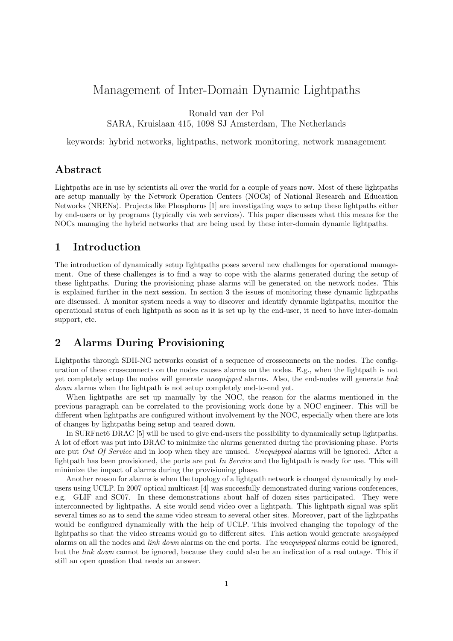# Management of Inter-Domain Dynamic Lightpaths

Ronald van der Pol

SARA, Kruislaan 415, 1098 SJ Amsterdam, The Netherlands

keywords: hybrid networks, lightpaths, network monitoring, network management

#### Abstract

Lightpaths are in use by scientists all over the world for a couple of years now. Most of these lightpaths are setup manually by the Network Operation Centers (NOCs) of National Research and Education Networks (NRENs). Projects like Phosphorus [1] are investigating ways to setup these lightpaths either by end-users or by programs (typically via web services). This paper discusses what this means for the NOCs managing the hybrid networks that are being used by these inter-domain dynamic lightpaths.

### 1 Introduction

The introduction of dynamically setup lightpaths poses several new challenges for operational management. One of these challenges is to find a way to cope with the alarms generated during the setup of these lightpaths. During the provisioning phase alarms will be generated on the network nodes. This is explained further in the next session. In section 3 the issues of monitoring these dynamic lightpaths are discussed. A monitor system needs a way to discover and identify dynamic lightpaths, monitor the operational status of each lightpath as soon as it is set up by the end-user, it need to have inter-domain support, etc.

# 2 Alarms During Provisioning

Lightpaths through SDH-NG networks consist of a sequence of crossconnects on the nodes. The configuration of these crossconnects on the nodes causes alarms on the nodes. E.g., when the lightpath is not yet completely setup the nodes will generate unequipped alarms. Also, the end-nodes will generate link down alarms when the lightpath is not setup completely end-to-end yet.

When lightpaths are set up manually by the NOC, the reason for the alarms mentioned in the previous paragraph can be correlated to the provisioning work done by a NOC engineer. This will be different when lightpaths are configured without involvement by the NOC, especially when there are lots of changes by lightpaths being setup and teared down.

In SURFnet6 DRAC [5] will be used to give end-users the possibility to dynamically setup lightpaths. A lot of effort was put into DRAC to minimize the alarms generated during the provisioning phase. Ports are put Out Of Service and in loop when they are unused. Unequipped alarms will be ignored. After a lightpath has been provisioned, the ports are put In Service and the lightpath is ready for use. This will minimize the impact of alarms during the provisioning phase.

Another reason for alarms is when the topology of a lightpath network is changed dynamically by endusers using UCLP. In 2007 optical multicast [4] was succesfully demonstrated during various conferences, e.g. GLIF and SC07. In these demonstrations about half of dozen sites participated. They were interconnected by lightpaths. A site would send video over a lightpath. This lightpath signal was split several times so as to send the same video stream to several other sites. Moreover, part of the lightpaths would be configured dynamically with the help of UCLP. This involved changing the topology of the lightpaths so that the video streams would go to different sites. This action would generate unequipped alarms on all the nodes and link down alarms on the end ports. The unequipped alarms could be ignored, but the link down cannot be ignored, because they could also be an indication of a real outage. This if still an open question that needs an answer.